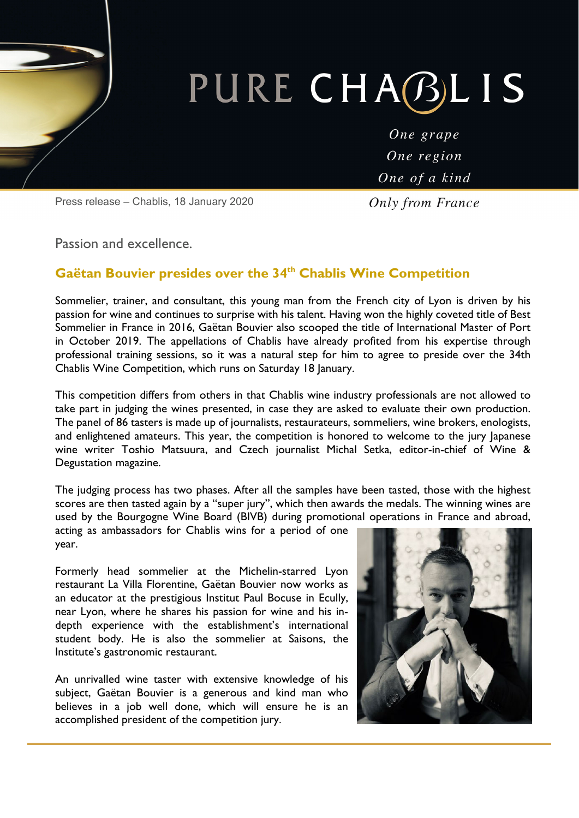# PURE CHABLIS

One grape One region One of a kind

**Only from France** 

Press release – Chablis, 18 January 2020

Passion and excellence.

# Gaëtan Bouvier presides over the 34<sup>th</sup> Chablis Wine Competition

Sommelier, trainer, and consultant, this young man from the French city of Lyon is driven by his passion for wine and continues to surprise with his talent. Having won the highly coveted title of Best Sommelier in France in 2016, Gaëtan Bouvier also scooped the title of International Master of Port in October 2019. The appellations of Chablis have already profited from his expertise through professional training sessions, so it was a natural step for him to agree to preside over the 34th Chablis Wine Competition, which runs on Saturday 18 January.

This competition differs from others in that Chablis wine industry professionals are not allowed to take part in judging the wines presented, in case they are asked to evaluate their own production. The panel of 86 tasters is made up of journalists, restaurateurs, sommeliers, wine brokers, enologists, and enlightened amateurs. This year, the competition is honored to welcome to the jury Japanese wine writer Toshio Matsuura, and Czech journalist Michal Setka, editor-in-chief of Wine & Degustation magazine.

The judging process has two phases. After all the samples have been tasted, those with the highest scores are then tasted again by a "super jury", which then awards the medals. The winning wines are used by the Bourgogne Wine Board (BIVB) during promotional operations in France and abroad,

acting as ambassadors for Chablis wins for a period of one year.

Formerly head sommelier at the Michelin-starred Lyon restaurant La Villa Florentine, Gaëtan Bouvier now works as an educator at the prestigious Institut Paul Bocuse in Ecully, near Lyon, where he shares his passion for wine and his indepth experience with the establishment's international student body. He is also the sommelier at Saisons, the Institute's gastronomic restaurant.

An unrivalled wine taster with extensive knowledge of his subject, Gaëtan Bouvier is a generous and kind man who believes in a job well done, which will ensure he is an accomplished president of the competition jury.

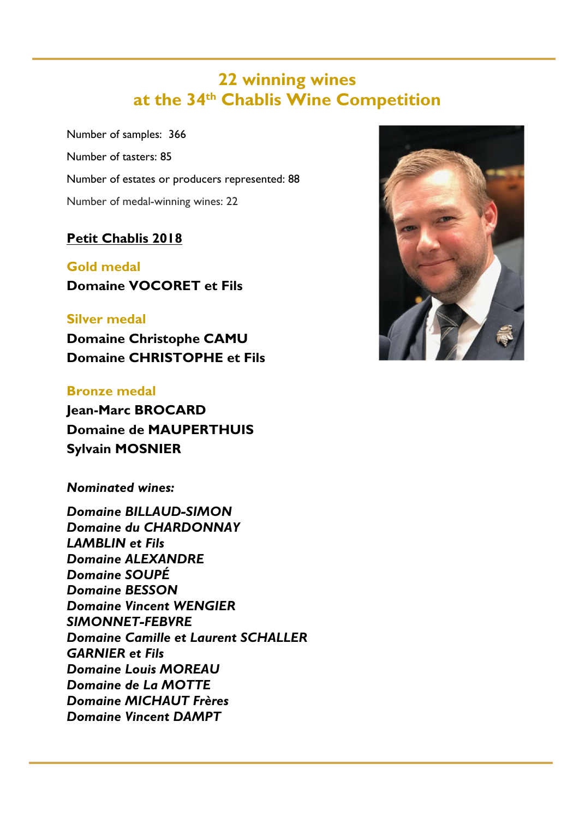# **22 winning wines at the 34th Chablis Wine Competition**

Number of samples: 366 Number of tasters: 85 Number of estates or producers represented: 88 Number of medal-winning wines: 22

# **Petit Chablis 2018**

**Gold medal Domaine VOCORET et Fils** 

# **Silver medal**

**Domaine Christophe CAMU Domaine CHRISTOPHE et Fils** 

# **Bronze medal**

**Jean-Marc BROCARD Domaine de MAUPERTHUIS Sylvain MOSNIER** 

*Nominated wines:* 

*Domaine BILLAUD-SIMON Domaine du CHARDONNAY LAMBLIN et Fils Domaine ALEXANDRE Domaine SOUPÉ Domaine BESSON Domaine Vincent WENGIER SIMONNET-FEBVRE Domaine Camille et Laurent SCHALLER GARNIER et Fils Domaine Louis MOREAU Domaine de La MOTTE Domaine MICHAUT Frères Domaine Vincent DAMPT*

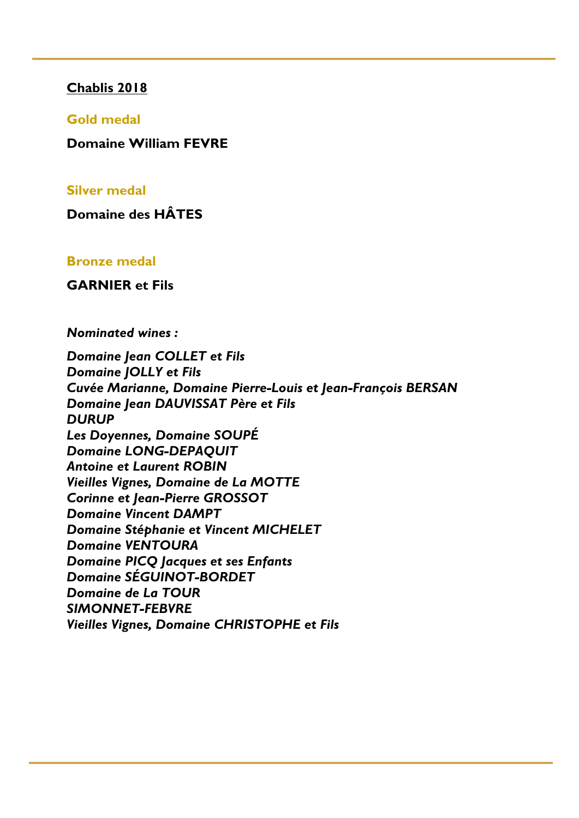#### **Chablis 2018**

#### **Gold medal**

**Domaine William FEVRE** 

#### **Silver medal**

**Domaine des HÂTES** 

#### **Bronze medal**

#### **GARNIER et Fils**

*Nominated wines :* 

*Domaine Jean COLLET et Fils Domaine JOLLY et Fils Cuvée Marianne, Domaine Pierre-Louis et Jean-François BERSAN Domaine Jean DAUVISSAT Père et Fils DURUP Les Doyennes, Domaine SOUPÉ Domaine LONG-DEPAQUIT Antoine et Laurent ROBIN Vieilles Vignes, Domaine de La MOTTE Corinne et Jean-Pierre GROSSOT Domaine Vincent DAMPT Domaine Stéphanie et Vincent MICHELET Domaine VENTOURA Domaine PICQ Jacques et ses Enfants Domaine SÉGUINOT-BORDET Domaine de La TOUR SIMONNET-FEBVRE Vieilles Vignes, Domaine CHRISTOPHE et Fils*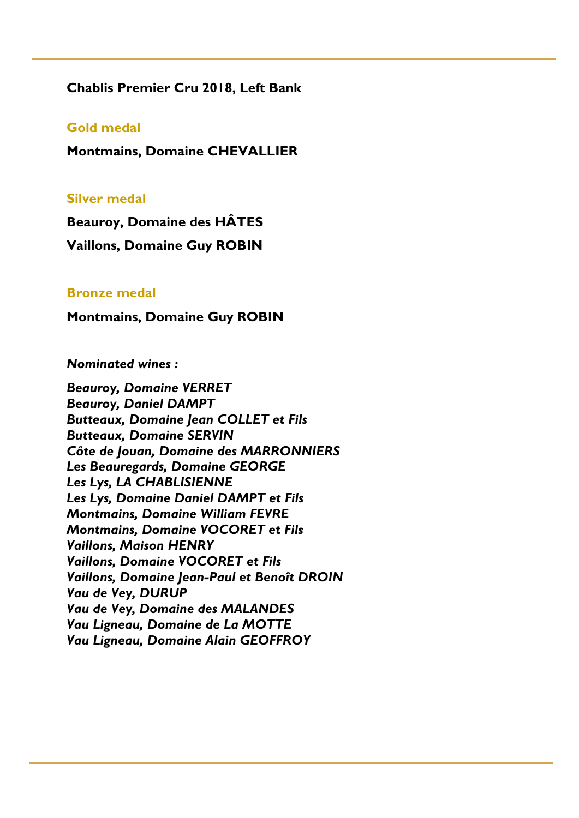#### **Chablis Premier Cru 2018, Left Bank**

#### **Gold medal**

**Montmains, Domaine CHEVALLIER** 

#### **Silver medal**

**Beauroy, Domaine des HÂTES** 

**Vaillons, Domaine Guy ROBIN** 

#### **Bronze medal**

**Montmains, Domaine Guy ROBIN** 

#### *Nominated wines :*

*Beauroy, Domaine VERRET Beauroy, Daniel DAMPT Butteaux, Domaine Jean COLLET et Fils Butteaux, Domaine SERVIN Côte de Jouan, Domaine des MARRONNIERS Les Beauregards, Domaine GEORGE Les Lys, LA CHABLISIENNE Les Lys, Domaine Daniel DAMPT et Fils Montmains, Domaine William FEVRE Montmains, Domaine VOCORET et Fils Vaillons, Maison HENRY Vaillons, Domaine VOCORET et Fils Vaillons, Domaine Jean-Paul et Benoît DROIN Vau de Vey, DURUP Vau de Vey, Domaine des MALANDES Vau Ligneau, Domaine de La MOTTE Vau Ligneau, Domaine Alain GEOFFROY*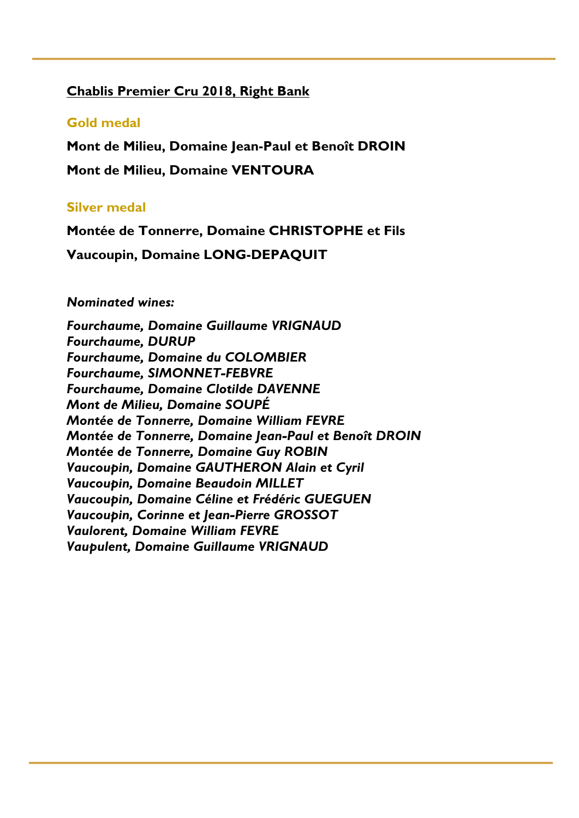# **Chablis Premier Cru 2018, Right Bank**

### **Gold medal**

**Mont de Milieu, Domaine Jean-Paul et Benoît DROIN** 

**Mont de Milieu, Domaine VENTOURA** 

#### **Silver medal**

**Montée de Tonnerre, Domaine CHRISTOPHE et Fils** 

**Vaucoupin, Domaine LONG-DEPAQUIT**

#### *Nominated wines:*

*Fourchaume, Domaine Guillaume VRIGNAUD Fourchaume, DURUP Fourchaume, Domaine du COLOMBIER Fourchaume, SIMONNET-FEBVRE Fourchaume, Domaine Clotilde DAVENNE Mont de Milieu, Domaine SOUPÉ Montée de Tonnerre, Domaine William FEVRE Montée de Tonnerre, Domaine Jean-Paul et Benoît DROIN Montée de Tonnerre, Domaine Guy ROBIN Vaucoupin, Domaine GAUTHERON Alain et Cyril Vaucoupin, Domaine Beaudoin MILLET Vaucoupin, Domaine Céline et Frédéric GUEGUEN Vaucoupin, Corinne et Jean-Pierre GROSSOT Vaulorent, Domaine William FEVRE Vaupulent, Domaine Guillaume VRIGNAUD*